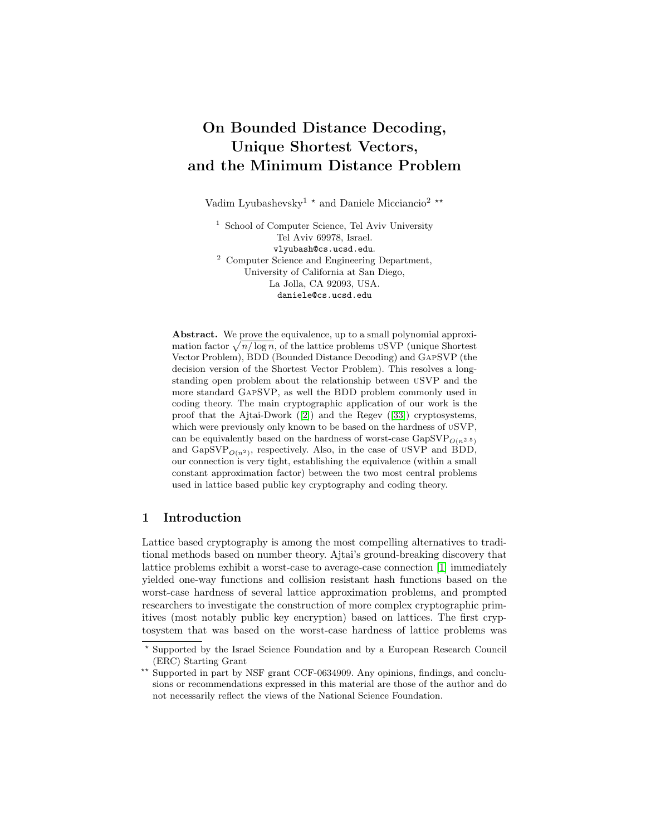# On Bounded Distance Decoding, Unique Shortest Vectors, and the Minimum Distance Problem

Vadim Lyubashevsky $^1$   $^\star$  and Daniele Micciancio $^2$   $^{\star\star}$ 

<sup>1</sup> School of Computer Science, Tel Aviv University Tel Aviv 69978, Israel. vlyubash@cs.ucsd.edu. <sup>2</sup> Computer Science and Engineering Department, University of California at San Diego, La Jolla, CA 92093, USA. daniele@cs.ucsd.edu

Abstract. We prove the equivalence, up to a small polynomial approximation factor  $\sqrt{n/\log n}$ , of the lattice problems uSVP (unique Shortest Vector Problem), BDD (Bounded Distance Decoding) and GapSVP (the decision version of the Shortest Vector Problem). This resolves a longstanding open problem about the relationship between uSVP and the more standard GapSVP, as well the BDD problem commonly used in coding theory. The main cryptographic application of our work is the proof that the Ajtai-Dwork ([\[2\]](#page-15-0)) and the Regev ([\[33\]](#page-16-0)) cryptosystems, which were previously only known to be based on the hardness of uSVP, can be equivalently based on the hardness of worst-case  $GapSVP_{O(n^{2.5})}$ and GapSVP<sub> $O(n^2)$ </sub>, respectively. Also, in the case of uSVP and BDD, our connection is very tight, establishing the equivalence (within a small constant approximation factor) between the two most central problems used in lattice based public key cryptography and coding theory.

# 1 Introduction

Lattice based cryptography is among the most compelling alternatives to traditional methods based on number theory. Ajtai's ground-breaking discovery that lattice problems exhibit a worst-case to average-case connection [\[1\]](#page-15-1) immediately yielded one-way functions and collision resistant hash functions based on the worst-case hardness of several lattice approximation problems, and prompted researchers to investigate the construction of more complex cryptographic primitives (most notably public key encryption) based on lattices. The first cryptosystem that was based on the worst-case hardness of lattice problems was

<sup>?</sup> Supported by the Israel Science Foundation and by a European Research Council (ERC) Starting Grant

<sup>\*\*</sup> Supported in part by NSF grant CCF-0634909. Any opinions, findings, and conclusions or recommendations expressed in this material are those of the author and do not necessarily reflect the views of the National Science Foundation.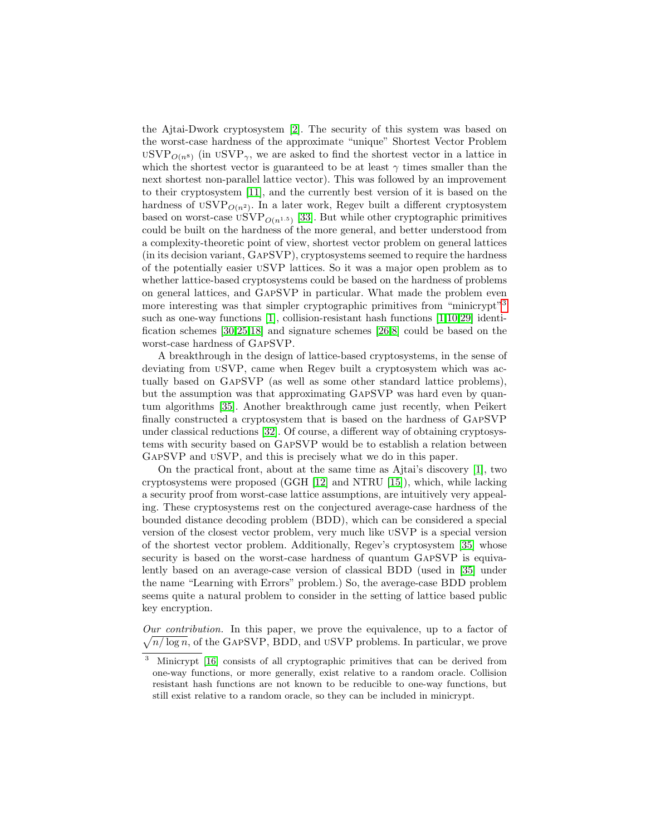the Ajtai-Dwork cryptosystem [\[2\]](#page-15-0). The security of this system was based on the worst-case hardness of the approximate "unique" Shortest Vector Problem  $\mathrm{USVP}_{O(n^8)}$  (in  $\mathrm{USVP}_{\gamma}$ , we are asked to find the shortest vector in a lattice in which the shortest vector is guaranteed to be at least  $\gamma$  times smaller than the next shortest non-parallel lattice vector). This was followed by an improvement to their cryptosystem [\[11\]](#page-16-1), and the currently best version of it is based on the hardness of  $USVP_{O(n^2)}$ . In a later work, Regev built a different cryptosystem based on worst-case  $\operatorname{USVP}_{O(n^{1.5})}$  [\[33\]](#page-16-0). But while other cryptographic primitives could be built on the hardness of the more general, and better understood from a complexity-theoretic point of view, shortest vector problem on general lattices (in its decision variant, GapSVP), cryptosystems seemed to require the hardness of the potentially easier uSVP lattices. So it was a major open problem as to whether lattice-based cryptosystems could be based on the hardness of problems on general lattices, and GapSVP in particular. What made the problem even more interesting was that simpler cryptographic primitives from "minicrypt"<sup>[3](#page-1-0)</sup> such as one-way functions [\[1\]](#page-15-1), collision-resistant hash functions [\[1,](#page-15-1)[10,](#page-15-2)[29\]](#page-16-2) identification schemes [\[30,](#page-16-3)[25,](#page-16-4)[18\]](#page-16-5) and signature schemes [\[26,](#page-16-6)[8\]](#page-15-3) could be based on the worst-case hardness of GapSVP.

A breakthrough in the design of lattice-based cryptosystems, in the sense of deviating from uSVP, came when Regev built a cryptosystem which was actually based on GapSVP (as well as some other standard lattice problems), but the assumption was that approximating GapSVP was hard even by quantum algorithms [\[35\]](#page-16-7). Another breakthrough came just recently, when Peikert finally constructed a cryptosystem that is based on the hardness of GapSVP under classical reductions [\[32\]](#page-16-8). Of course, a different way of obtaining cryptosystems with security based on GapSVP would be to establish a relation between GapSVP and uSVP, and this is precisely what we do in this paper.

On the practical front, about at the same time as Ajtai's discovery [\[1\]](#page-15-1), two cryptosystems were proposed (GGH [\[12\]](#page-16-9) and NTRU [\[15\]](#page-16-10)), which, while lacking a security proof from worst-case lattice assumptions, are intuitively very appealing. These cryptosystems rest on the conjectured average-case hardness of the bounded distance decoding problem (BDD), which can be considered a special version of the closest vector problem, very much like uSVP is a special version of the shortest vector problem. Additionally, Regev's cryptosystem [\[35\]](#page-16-7) whose security is based on the worst-case hardness of quantum GAPSVP is equivalently based on an average-case version of classical BDD (used in [\[35\]](#page-16-7) under the name "Learning with Errors" problem.) So, the average-case BDD problem seems quite a natural problem to consider in the setting of lattice based public key encryption.

Our contribution. In this paper, we prove the equivalence, up to a factor of  $\sqrt{n/\log n}$ , of the GAPSVP, BDD, and USVP problems. In particular, we prove

<span id="page-1-0"></span><sup>&</sup>lt;sup>3</sup> Minicrypt [\[16\]](#page-16-11) consists of all cryptographic primitives that can be derived from one-way functions, or more generally, exist relative to a random oracle. Collision resistant hash functions are not known to be reducible to one-way functions, but still exist relative to a random oracle, so they can be included in minicrypt.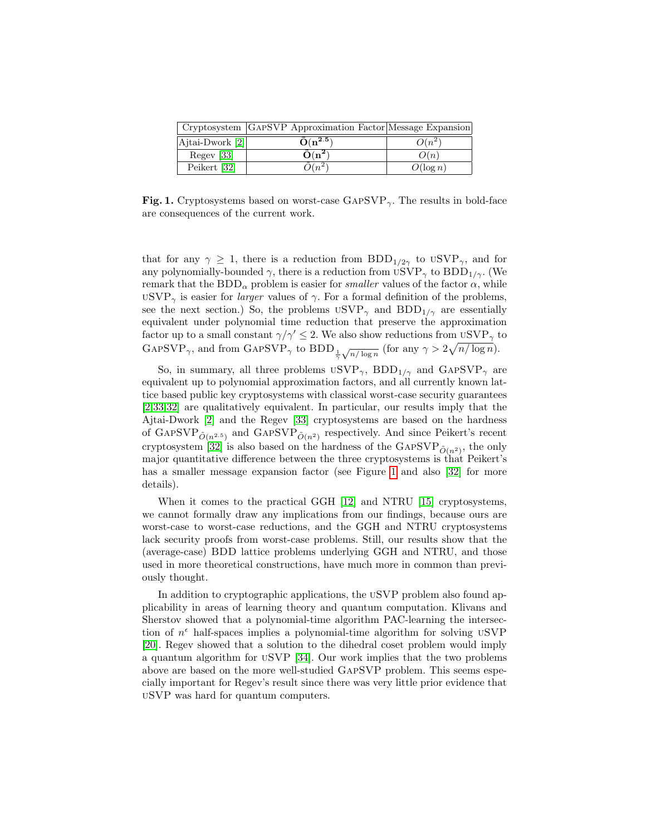|                                       | Cryptosystem GAPSVP Approximation Factor Message Expansion |             |
|---------------------------------------|------------------------------------------------------------|-------------|
| $\vert$ Ajtai-Dwork $\vert$ 2 $\vert$ | $\tilde{O}(n^{2.5})$                                       | $O(n^{2})$  |
| Regev <sup>[33]</sup>                 | $\tilde{\mathbf{O}}(\mathbf{n^2})$                         | O(n)        |
| Peikert [32]                          | $2(n^2)$                                                   | $O(\log n)$ |

<span id="page-2-0"></span>Fig. 1. Cryptosystems based on worst-case  $\text{GAPSVP}_{\gamma}$ . The results in bold-face are consequences of the current work.

that for any  $\gamma \geq 1$ , there is a reduction from BDD<sub>1/2γ</sub> to uSVP<sub>γ</sub>, and for any polynomially-bounded  $\gamma$ , there is a reduction from  $USVP_{\gamma}$  to  $BDD_{1/\gamma}$ . (We remark that the  $BDD_{\alpha}$  problem is easier for *smaller* values of the factor  $\alpha$ , while  $USVP_{\gamma}$  is easier for *larger* values of  $\gamma$ . For a formal definition of the problems, see the next section.) So, the problems  $USVP_{\gamma}$  and  $BDD_{1/\gamma}$  are essentially equivalent under polynomial time reduction that preserve the approximation factor up to a small constant  $\gamma/\gamma' \leq 2$ . We also show reductions from  $\mathrm{USVP}_{\gamma}$  to GAPSVP<sub>γ</sub>, and from GAPSVP<sub>γ</sub> to BDD<sub>1</sub><sup>7</sup></sup>  $\sqrt{n/\log n}$  (for any  $\gamma > 2\sqrt{n/\log n}$ ).

So, in summary, all three problems  $USVP_{\gamma}$ ,  $BDD_{1/\gamma}$  and  $GAPSVP_{\gamma}$  are equivalent up to polynomial approximation factors, and all currently known lattice based public key cryptosystems with classical worst-case security guarantees [\[2,](#page-15-0)[33](#page-16-0)[,32\]](#page-16-8) are qualitatively equivalent. In particular, our results imply that the Ajtai-Dwork [\[2\]](#page-15-0) and the Regev [\[33\]](#page-16-0) cryptosystems are based on the hardness of GAPSVP $\tilde{O}(n^{2.5})$  and GAPSVP $\tilde{O}(n^2)$  respectively. And since Peikert's recent cryptosystem [\[32\]](#page-16-8) is also based on the hardness of the GAPSVP<sub> $\tilde{O}(n^2)$ </sub>, the only major quantitative difference between the three cryptosystems is that Peikert's has a smaller message expansion factor (see Figure [1](#page-2-0) and also [\[32\]](#page-16-8) for more details).

When it comes to the practical GGH [\[12\]](#page-16-9) and NTRU [\[15\]](#page-16-10) cryptosystems, we cannot formally draw any implications from our findings, because ours are worst-case to worst-case reductions, and the GGH and NTRU cryptosystems lack security proofs from worst-case problems. Still, our results show that the (average-case) BDD lattice problems underlying GGH and NTRU, and those used in more theoretical constructions, have much more in common than previously thought.

In addition to cryptographic applications, the uSVP problem also found applicability in areas of learning theory and quantum computation. Klivans and Sherstov showed that a polynomial-time algorithm PAC-learning the intersection of  $n^{\epsilon}$  half-spaces implies a polynomial-time algorithm for solving USVP [\[20\]](#page-16-12). Regev showed that a solution to the dihedral coset problem would imply a quantum algorithm for uSVP [\[34\]](#page-16-13). Our work implies that the two problems above are based on the more well-studied GapSVP problem. This seems especially important for Regev's result since there was very little prior evidence that uSVP was hard for quantum computers.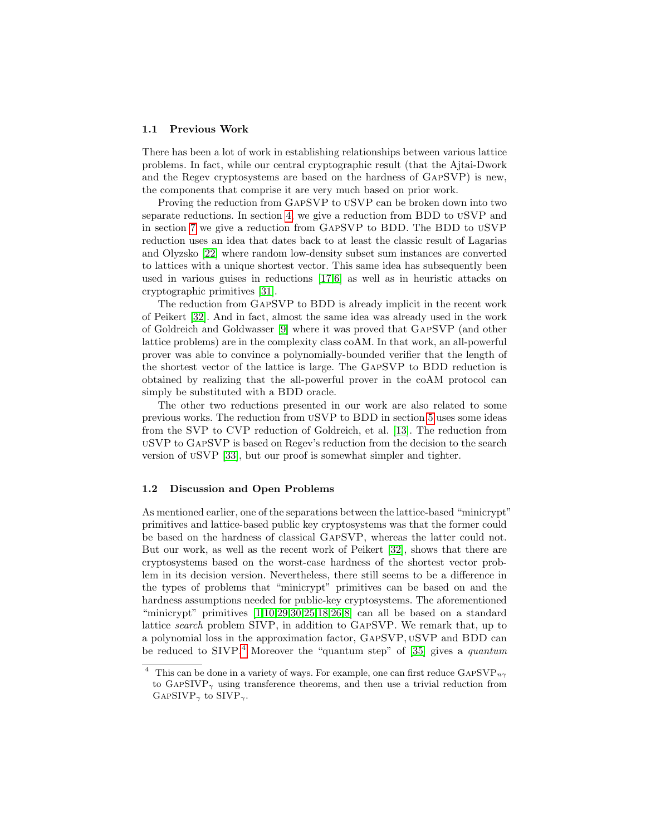#### 1.1 Previous Work

There has been a lot of work in establishing relationships between various lattice problems. In fact, while our central cryptographic result (that the Ajtai-Dwork and the Regev cryptosystems are based on the hardness of GapSVP) is new, the components that comprise it are very much based on prior work.

Proving the reduction from GapSVP to uSVP can be broken down into two separate reductions. In section [4,](#page-9-0) we give a reduction from BDD to uSVP and in section [7](#page-14-0) we give a reduction from GapSVP to BDD. The BDD to uSVP reduction uses an idea that dates back to at least the classic result of Lagarias and Olyzsko [\[22\]](#page-16-14) where random low-density subset sum instances are converted to lattices with a unique shortest vector. This same idea has subsequently been used in various guises in reductions [\[17,](#page-16-15)[6\]](#page-15-4) as well as in heuristic attacks on cryptographic primitives [\[31\]](#page-16-16).

The reduction from GapSVP to BDD is already implicit in the recent work of Peikert [\[32\]](#page-16-8). And in fact, almost the same idea was already used in the work of Goldreich and Goldwasser [\[9\]](#page-15-5) where it was proved that GapSVP (and other lattice problems) are in the complexity class coAM. In that work, an all-powerful prover was able to convince a polynomially-bounded verifier that the length of the shortest vector of the lattice is large. The GapSVP to BDD reduction is obtained by realizing that the all-powerful prover in the coAM protocol can simply be substituted with a BDD oracle.

The other two reductions presented in our work are also related to some previous works. The reduction from uSVP to BDD in section [5](#page-11-0) uses some ideas from the SVP to CVP reduction of Goldreich, et al. [\[13\]](#page-16-17). The reduction from uSVP to GapSVP is based on Regev's reduction from the decision to the search version of uSVP [\[33\]](#page-16-0), but our proof is somewhat simpler and tighter.

#### 1.2 Discussion and Open Problems

As mentioned earlier, one of the separations between the lattice-based "minicrypt" primitives and lattice-based public key cryptosystems was that the former could be based on the hardness of classical GapSVP, whereas the latter could not. But our work, as well as the recent work of Peikert [\[32\]](#page-16-8), shows that there are cryptosystems based on the worst-case hardness of the shortest vector problem in its decision version. Nevertheless, there still seems to be a difference in the types of problems that "minicrypt" primitives can be based on and the hardness assumptions needed for public-key cryptosystems. The aforementioned "minicrypt" primitives [\[1](#page-15-1)[,10,](#page-15-2)[29,](#page-16-2)[30,](#page-16-3)[25](#page-16-4)[,18,](#page-16-5)[26,](#page-16-6)[8\]](#page-15-3) can all be based on a standard lattice search problem SIVP, in addition to GapSVP. We remark that, up to a polynomial loss in the approximation factor, GapSVP, uSVP and BDD can be reduced to SIVP.<sup>[4](#page-3-0)</sup> Moreover the "quantum step" of [\[35\]](#page-16-7) gives a *quantum* 

<span id="page-3-0"></span><sup>&</sup>lt;sup>4</sup> This can be done in a variety of ways. For example, one can first reduce GAPSVP<sub>n $\gamma$ </sub> to GAPSIVP<sub> $\gamma$ </sub> using transference theorems, and then use a trivial reduction from GAPSIVP<sub> $\gamma$ </sub> to SIVP<sub> $\gamma$ </sub>.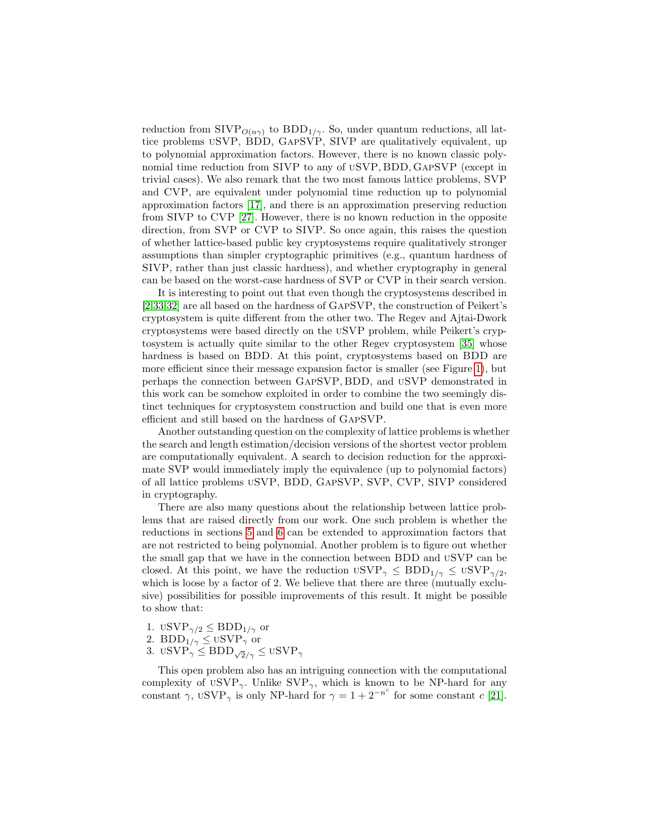reduction from  $\text{SIVP}_{O(n\gamma)}$  to  $\text{BDD}_{1/\gamma}$ . So, under quantum reductions, all lattice problems uSVP, BDD, GapSVP, SIVP are qualitatively equivalent, up to polynomial approximation factors. However, there is no known classic polynomial time reduction from SIVP to any of uSVP, BDD, GapSVP (except in trivial cases). We also remark that the two most famous lattice problems, SVP and CVP, are equivalent under polynomial time reduction up to polynomial approximation factors [\[17\]](#page-16-15), and there is an approximation preserving reduction from SIVP to CVP [\[27\]](#page-16-18). However, there is no known reduction in the opposite direction, from SVP or CVP to SIVP. So once again, this raises the question of whether lattice-based public key cryptosystems require qualitatively stronger assumptions than simpler cryptographic primitives (e.g., quantum hardness of SIVP, rather than just classic hardness), and whether cryptography in general can be based on the worst-case hardness of SVP or CVP in their search version.

It is interesting to point out that even though the cryptosystems described in [\[2,](#page-15-0)[33](#page-16-0)[,32\]](#page-16-8) are all based on the hardness of GapSVP, the construction of Peikert's cryptosystem is quite different from the other two. The Regev and Ajtai-Dwork cryptosystems were based directly on the uSVP problem, while Peikert's cryptosystem is actually quite similar to the other Regev cryptosystem [\[35\]](#page-16-7) whose hardness is based on BDD. At this point, cryptosystems based on BDD are more efficient since their message expansion factor is smaller (see Figure [1\)](#page-2-0), but perhaps the connection between GapSVP, BDD, and uSVP demonstrated in this work can be somehow exploited in order to combine the two seemingly distinct techniques for cryptosystem construction and build one that is even more efficient and still based on the hardness of GapSVP.

Another outstanding question on the complexity of lattice problems is whether the search and length estimation/decision versions of the shortest vector problem are computationally equivalent. A search to decision reduction for the approximate SVP would immediately imply the equivalence (up to polynomial factors) of all lattice problems uSVP, BDD, GapSVP, SVP, CVP, SIVP considered in cryptography.

There are also many questions about the relationship between lattice problems that are raised directly from our work. One such problem is whether the reductions in sections [5](#page-11-0) and [6](#page-12-0) can be extended to approximation factors that are not restricted to being polynomial. Another problem is to figure out whether the small gap that we have in the connection between BDD and uSVP can be closed. At this point, we have the reduction  $USVP_{\gamma} \leq BDD_{1/\gamma} \leq USVP_{\gamma/2}$ , which is loose by a factor of 2. We believe that there are three (mutually exclusive) possibilities for possible improvements of this result. It might be possible to show that:

- 1.  $USVP_{\gamma/2} \leq BDD_{1/\gamma}$  or
- 2.  $BDD_1/\gamma \leq \text{USVP}_\gamma^{-1}$  or
- 3. uSVP $\gamma \leq \text{BDD}_{\sqrt{2}/\gamma} \leq \text{USVP}_{\gamma}$

This open problem also has an intriguing connection with the computational complexity of USVP<sub>γ</sub>. Unlike SVP<sub>γ</sub>, which is known to be NP-hard for any constant  $\gamma$ , USVP $_{\gamma}$  is only NP-hard for  $\gamma = 1 + 2^{-n^{c}}$  for some constant c [\[21\]](#page-16-19).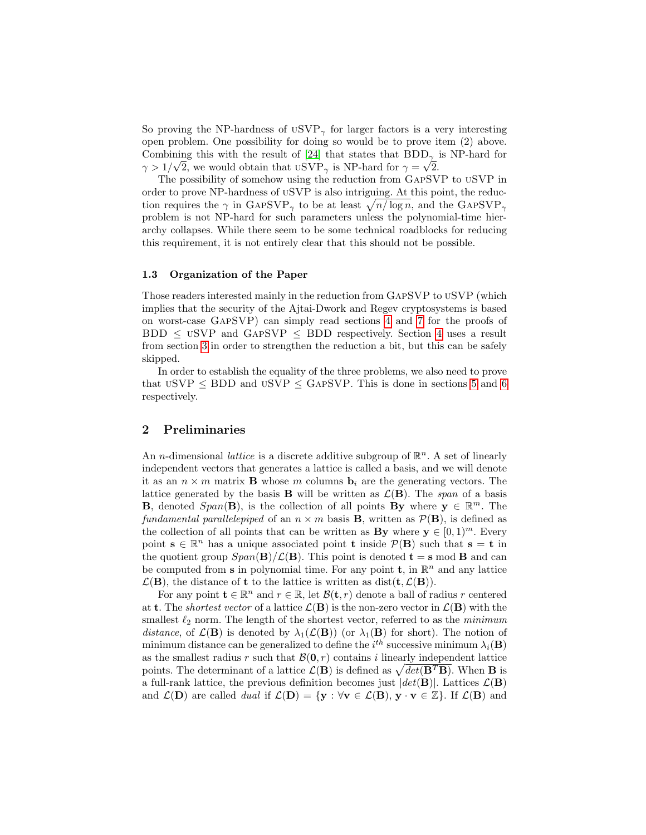So proving the NP-hardness of  $USVP_{\gamma}$  for larger factors is a very interesting open problem. One possibility for doing so would be to prove item (2) above. Combining this with the result of [\[24\]](#page-16-20) that states that  $BDD_{\gamma}$  is NP-hard for  $\gamma > 1/\sqrt{2}$ , we would obtain that  $USVP_{\gamma}$  is NP-hard for  $\gamma = \sqrt{2}$ .

The possibility of somehow using the reduction from GapSVP to uSVP in order to prove NP-hardness of uSVP is also intriguing. At this point, the reduction requires the  $\gamma$  in GAPSVP<sub> $\gamma$ </sub> to be at least  $\sqrt{n/\log n}$ , and the GAPSVP<sub> $\gamma$ </sub> problem is not NP-hard for such parameters unless the polynomial-time hierarchy collapses. While there seem to be some technical roadblocks for reducing this requirement, it is not entirely clear that this should not be possible.

## 1.3 Organization of the Paper

Those readers interested mainly in the reduction from GapSVP to uSVP (which implies that the security of the Ajtai-Dwork and Regev cryptosystems is based on worst-case GapSVP) can simply read sections [4](#page-9-0) and [7](#page-14-0) for the proofs of  $BDD \leq$  USVP and GAPSVP  $\leq$  BDD respectively. Section [4](#page-9-0) uses a result from section [3](#page-8-0) in order to strengthen the reduction a bit, but this can be safely skipped.

In order to establish the equality of the three problems, we also need to prove that  $USVP \le BDD$  and  $USVP \le GAPSVP$ . This is done in sections [5](#page-11-0) and [6](#page-12-0) respectively.

# 2 Preliminaries

An *n*-dimensional *lattice* is a discrete additive subgroup of  $\mathbb{R}^n$ . A set of linearly independent vectors that generates a lattice is called a basis, and we will denote it as an  $n \times m$  matrix **B** whose m columns  $\mathbf{b}_i$  are the generating vectors. The lattice generated by the basis **B** will be written as  $\mathcal{L}(\mathbf{B})$ . The span of a basis **B**, denoted  $Span(\mathbf{B})$ , is the collection of all points  $\mathbf{By}$  where  $\mathbf{y} \in \mathbb{R}^m$ . The fundamental parallelepiped of an  $n \times m$  basis **B**, written as  $\mathcal{P}(\mathbf{B})$ , is defined as the collection of all points that can be written as **By** where  $y \in [0, 1]^m$ . Every point  $\mathbf{s} \in \mathbb{R}^n$  has a unique associated point **t** inside  $\mathcal{P}(\mathbf{B})$  such that  $\mathbf{s} = \mathbf{t}$  in the quotient group  $Span(\mathbf{B})/\mathcal{L}(\mathbf{B})$ . This point is denoted  $\mathbf{t} = \mathbf{s} \mod \mathbf{B}$  and can be computed from s in polynomial time. For any point **t**, in  $\mathbb{R}^n$  and any lattice  $\mathcal{L}(\mathbf{B})$ , the distance of **t** to the lattice is written as dist(**t**,  $\mathcal{L}(\mathbf{B})$ ).

For any point  $\mathbf{t} \in \mathbb{R}^n$  and  $r \in \mathbb{R}$ , let  $\mathcal{B}(\mathbf{t}, r)$  denote a ball of radius r centered at **t**. The *shortest vector* of a lattice  $\mathcal{L}(\mathbf{B})$  is the non-zero vector in  $\mathcal{L}(\mathbf{B})$  with the smallest  $\ell_2$  norm. The length of the shortest vector, referred to as the minimum distance, of  $\mathcal{L}(\mathbf{B})$  is denoted by  $\lambda_1(\mathcal{L}(\mathbf{B}))$  (or  $\lambda_1(\mathbf{B})$  for short). The notion of minimum distance can be generalized to define the  $i^{th}$  successive minimum  $\lambda_i(\mathbf{B})$ as the smallest radius r such that  $\mathcal{B}(0,r)$  contains i linearly independent lattice points. The determinant of a lattice  $\mathcal{L}(\mathbf{B})$  is defined as  $\sqrt{det(\mathbf{B}^T\mathbf{B})}$ . When **B** is a full-rank lattice, the previous definition becomes just  $|det(\mathbf{B})|$ . Lattices  $\mathcal{L}(\mathbf{B})$ and  $\mathcal{L}(\mathbf{D})$  are called *dual* if  $\mathcal{L}(\mathbf{D}) = \{ \mathbf{y} : \forall \mathbf{v} \in \mathcal{L}(\mathbf{B}), \mathbf{y} \cdot \mathbf{v} \in \mathbb{Z} \}$ . If  $\mathcal{L}(\mathbf{B})$  and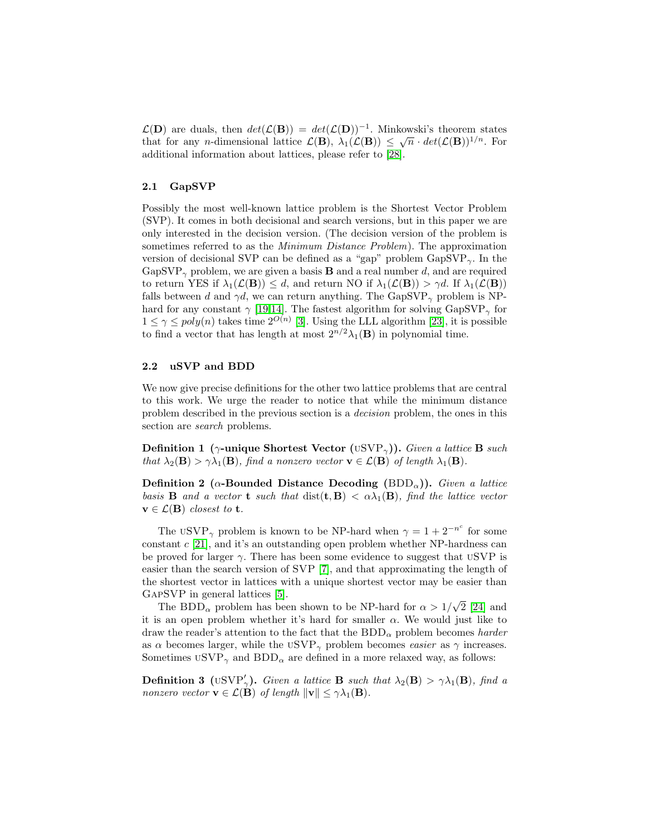$\mathcal{L}(\mathbf{D})$  are duals, then  $det(\mathcal{L}(\mathbf{B})) = det(\mathcal{L}(\mathbf{D}))^{-1}$ . Minkowski's theorem states that for any *n*-dimensional lattice  $\mathcal{L}(\mathbf{B})$ ,  $\lambda_1(\mathcal{L}(\mathbf{B})) \leq \sqrt{n} \cdot det(\mathcal{L}(\mathbf{B}))^{1/n}$ . For additional information about lattices, please refer to [\[28\]](#page-16-21).

## 2.1 GapSVP

Possibly the most well-known lattice problem is the Shortest Vector Problem (SVP). It comes in both decisional and search versions, but in this paper we are only interested in the decision version. (The decision version of the problem is sometimes referred to as the *Minimum Distance Problem*). The approximation version of decisional SVP can be defined as a "gap" problem  $GapSVP_{\gamma}$ . In the GapSVP<sub> $\gamma$ </sub> problem, we are given a basis **B** and a real number d, and are required to return YES if  $\lambda_1(\mathcal{L}(\mathbf{B})) \leq d$ , and return NO if  $\lambda_1(\mathcal{L}(\mathbf{B})) > \gamma d$ . If  $\lambda_1(\mathcal{L}(\mathbf{B}))$ falls between d and  $\gamma d$ , we can return anything. The GapSVP<sub> $\gamma$ </sub> problem is NPhard for any constant  $\gamma$  [\[19](#page-16-22)[,14\]](#page-16-23). The fastest algorithm for solving GapSVP<sub> $\gamma$ </sub> for  $1 \leq \gamma \leq poly(n)$  takes time  $2^{O(n)}$  [\[3\]](#page-15-6). Using the LLL algorithm [\[23\]](#page-16-24), it is possible to find a vector that has length at most  $2^{n/2}\lambda_1(\mathbf{B})$  in polynomial time.

### 2.2 uSVP and BDD

We now give precise definitions for the other two lattice problems that are central to this work. We urge the reader to notice that while the minimum distance problem described in the previous section is a decision problem, the ones in this section are *search* problems.

Definition 1 (γ-unique Shortest Vector (USVP<sub>γ</sub>)). Given a lattice B such that  $\lambda_2(\mathbf{B}) > \gamma \lambda_1(\mathbf{B})$ , find a nonzero vector  $\mathbf{v} \in \mathcal{L}(\mathbf{B})$  of length  $\lambda_1(\mathbf{B})$ .

Definition 2 ( $\alpha$ -Bounded Distance Decoding (BDD<sub> $\alpha$ </sub>)). Given a lattice basis **B** and a vector **t** such that  $dist(t, B) < \alpha\lambda_1(B)$ , find the lattice vector  $\mathbf{v} \in \mathcal{L}(\mathbf{B})$  closest to **t**.

The USVP<sub> $\gamma$ </sub> problem is known to be NP-hard when  $\gamma = 1 + 2^{-n^c}$  for some constant c [\[21\]](#page-16-19), and it's an outstanding open problem whether NP-hardness can be proved for larger  $\gamma$ . There has been some evidence to suggest that USVP is easier than the search version of SVP [\[7\]](#page-15-7), and that approximating the length of the shortest vector in lattices with a unique shortest vector may be easier than GapSVP in general lattices [\[5\]](#page-15-8).

PSVP in general lattices [5].<br>The BDD<sub> $\alpha$ </sub> problem has been shown to be NP-hard for  $\alpha > 1/\sqrt{ }$ 2 [\[24\]](#page-16-20) and it is an open problem whether it's hard for smaller  $\alpha$ . We would just like to draw the reader's attention to the fact that the  $BDD_{\alpha}$  problem becomes harder as  $\alpha$  becomes larger, while the USVP<sub> $\gamma$ </sub> problem becomes *easier* as  $\gamma$  increases. Sometimes  $USVP_{\gamma}$  and  $BDD_{\alpha}$  are defined in a more relaxed way, as follows:

**Definition 3** (USVP'<sub>7</sub>). Given a lattice **B** such that  $\lambda_2(\mathbf{B}) > \gamma \lambda_1(\mathbf{B})$ , find a nonzero vector  $\mathbf{v} \in \mathcal{L}(\mathbf{B})$  of length  $\|\mathbf{v}\| \leq \gamma \lambda_1(\mathbf{B})$ .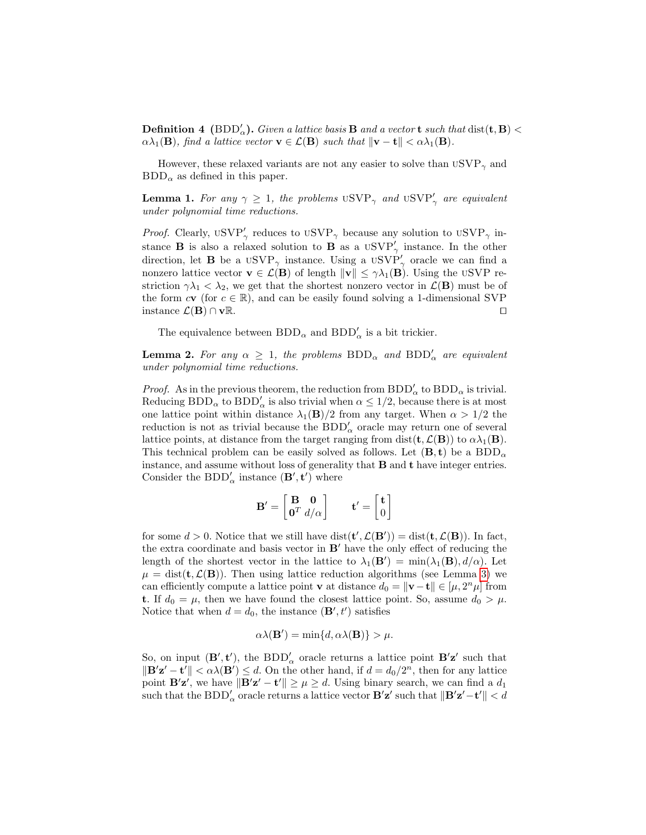**Definition 4** (BDD'<sub>a</sub>). Given a lattice basis **B** and a vector **t** such that  $dist(\mathbf{t}, \mathbf{B})$  <  $\alpha\lambda_1(\mathbf{B})$ , find a lattice vector  $\mathbf{v} \in \mathcal{L}(\mathbf{B})$  such that  $\|\mathbf{v} - \mathbf{t}\| < \alpha\lambda_1(\mathbf{B})$ .

However, these relaxed variants are not any easier to solve than  $USVP_{\gamma}$  and  $BDD_{\alpha}$  as defined in this paper.

**Lemma 1.** For any  $\gamma \geq 1$ , the problems  $USVP_{\gamma}$  and  $USVP'_{\gamma}$  are equivalent under polynomial time reductions.

*Proof.* Clearly,  $USVP'_{\gamma}$  reduces to  $USVP_{\gamma}$  because any solution to  $USVP_{\gamma}$  instance **B** is also a relaxed solution to **B** as a  $USVP'_{\gamma}$  instance. In the other direction, let **B** be a  $USVP_{\gamma}$  instance. Using a  $USVP'_{\gamma}$  oracle we can find a nonzero lattice vector  $\mathbf{v} \in \mathcal{L}(\mathbf{B})$  of length  $\|\mathbf{v}\| \leq \gamma \lambda_1(\mathbf{B})$ . Using the USVP restriction  $\gamma \lambda_1 < \lambda_2$ , we get that the shortest nonzero vector in  $\mathcal{L}(\mathbf{B})$  must be of the form  $c\mathbf{v}$  (for  $c \in \mathbb{R}$ ), and can be easily found solving a 1-dimensional SVP instance  $\mathcal{L}(\mathbf{B}) \cap \mathbf{v} \mathbb{R}$ . □

The equivalence between  $\text{BDD}_\alpha$  and  $\text{BDD}_\alpha'$  is a bit trickier.

<span id="page-7-0"></span>**Lemma 2.** For any  $\alpha \geq 1$ , the problems  $BDD_{\alpha}$  and  $BDD'_{\alpha}$  are equivalent under polynomial time reductions.

*Proof.* As in the previous theorem, the reduction from  $BDD'_{\alpha}$  to  $BDD_{\alpha}$  is trivial. Reducing  $BDD_{\alpha}$  to  $BDD'_{\alpha}$  is also trivial when  $\alpha \leq 1/2$ , because there is at most one lattice point within distance  $\lambda_1(\mathbf{B})/2$  from any target. When  $\alpha > 1/2$  the reduction is not as trivial because the  $BDD'_{\alpha}$  oracle may return one of several lattice points, at distance from the target ranging from dist( $\mathbf{t}, \mathcal{L}(\mathbf{B})$ ) to  $\alpha \lambda_1(\mathbf{B})$ . This technical problem can be easily solved as follows. Let  $(\mathbf{B}, \mathbf{t})$  be a  $BDD_{\alpha}$ instance, and assume without loss of generality that B and t have integer entries. Consider the  $\mathbf{BDD}'_\alpha$  instance  $(\mathbf{B}', \mathbf{t}')$  where

$$
\mathbf{B}' = \begin{bmatrix} \mathbf{B} & \mathbf{0} \\ \mathbf{0}^T & d/\alpha \end{bmatrix} \qquad \mathbf{t}' = \begin{bmatrix} \mathbf{t} \\ 0 \end{bmatrix}
$$

for some  $d > 0$ . Notice that we still have  $dist(\mathbf{t}', \mathcal{L}(\mathbf{B}')) = dist(\mathbf{t}, \mathcal{L}(\mathbf{B}))$ . In fact, the extra coordinate and basis vector in  $B'$  have the only effect of reducing the length of the shortest vector in the lattice to  $\lambda_1(\mathbf{B}') = \min(\lambda_1(\mathbf{B}), d/\alpha)$ . Let  $\mu = \text{dist}(\mathbf{t}, \mathcal{L}(\mathbf{B}))$ . Then using lattice reduction algorithms (see Lemma [3\)](#page-8-1) we can efficiently compute a lattice point **v** at distance  $d_0 = \|\mathbf{v} - \mathbf{t}\| \in [\mu, 2^n \mu]$  from **t**. If  $d_0 = \mu$ , then we have found the closest lattice point. So, assume  $d_0 > \mu$ . Notice that when  $d = d_0$ , the instance  $(\mathbf{B}', t')$  satisfies

$$
\alpha\lambda(\mathbf{B}') = \min\{d, \alpha\lambda(\mathbf{B})\} > \mu.
$$

So, on input  $(\mathbf{B}', \mathbf{t}')$ , the  $BDD'_{\alpha}$  oracle returns a lattice point  $\mathbf{B'z'}$  such that  $\|\mathbf{B}'\mathbf{z}' - \mathbf{t}'\| < \alpha\lambda(\mathbf{B}') \leq d$ . On the other hand, if  $d = d_0/2^n$ , then for any lattice point  $\mathbf{B}'\mathbf{z}'$ , we have  $\|\mathbf{B}'\mathbf{z}' - \mathbf{t}'\| \geq \mu \geq d$ . Using binary search, we can find a  $d_1$ such that the  $\text{BDD}_\alpha'$  oracle returns a lattice vector  $\mathbf{B'z'}$  such that  $\|\mathbf{B'z'}-t'\| < d$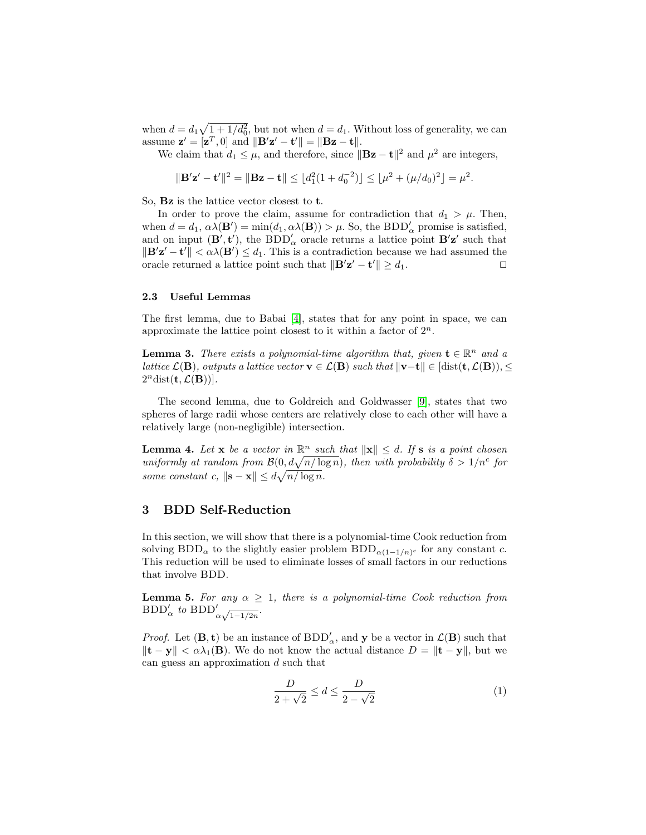when  $d = d_1 \sqrt{1 + 1/d_0^2}$ , but not when  $d = d_1$ . Without loss of generality, we can assume  $\mathbf{z}' = [\mathbf{z}^T, 0]$  and  $\|\mathbf{B}'\mathbf{z}' - \mathbf{t}'\| = \|\mathbf{Bz} - \mathbf{t}\|.$ 

We claim that  $d_1 \leq \mu$ , and therefore, since  $\|\mathbf{Bz} - \mathbf{t}\|^2$  and  $\mu^2$  are integers,

$$
\|\mathbf{B}'\mathbf{z}' - \mathbf{t}'\|^2 = \|\mathbf{B}\mathbf{z} - \mathbf{t}\| \le \lfloor d_1^2(1 + d_0^{-2}) \rfloor \le \lfloor \mu^2 + (\mu/d_0)^2 \rfloor = \mu^2.
$$

So, Bz is the lattice vector closest to t.

In order to prove the claim, assume for contradiction that  $d_1 > \mu$ . Then, when  $d = d_1, \alpha \lambda(\mathbf{B}') = \min(d_1, \alpha \lambda(\mathbf{B})) > \mu$ . So, the BDD'<sub> $\alpha$ </sub> promise is satisfied, and on input  $(\mathbf{B}', \mathbf{t}')$ , the  $BDD'_{\alpha}$  oracle returns a lattice point  $\mathbf{B'z}'$  such that  $\|\mathbf{B}'\mathbf{z}' - \mathbf{t}'\| < \alpha\lambda(\mathbf{B}') \leq d_1$ . This is a contradiction because we had assumed the oracle returned a lattice point such that  $\|\mathbf{B}'\mathbf{z}' - \mathbf{t}'\| \ge d_1$ .

#### 2.3 Useful Lemmas

The first lemma, due to Babai [\[4\]](#page-15-9), states that for any point in space, we can approximate the lattice point closest to it within a factor of  $2^n$ .

<span id="page-8-1"></span>**Lemma 3.** There exists a polynomial-time algorithm that, given  $\mathbf{t} \in \mathbb{R}^n$  and a *lattice*  $\mathcal{L}(\mathbf{B})$ , *outputs a lattice vector*  $\mathbf{v} \in \mathcal{L}(\mathbf{B})$  *such that*  $\|\mathbf{v}-\mathbf{t}\| \in [\text{dist}(\mathbf{t},\mathcal{L}(\mathbf{B})), \leq$  $2^n$ dist $(\mathbf{t}, \mathcal{L}(\mathbf{B}))$ .

The second lemma, due to Goldreich and Goldwasser [\[9\]](#page-15-5), states that two spheres of large radii whose centers are relatively close to each other will have a relatively large (non-negligible) intersection.

<span id="page-8-3"></span>**Lemma 4.** Let **x** be a vector in  $\mathbb{R}^n$  such that  $\|\mathbf{x}\| \leq d$ . If **s** is a point chosen uniformly at random from  $\mathcal{B}(0, d\sqrt{n/\log n})$ , then with probability  $\delta > 1/n^c$  for some constant c,  $\|\mathbf{s} - \mathbf{x}\| \leq d\sqrt{n/\log n}$ .

# <span id="page-8-0"></span>3 BDD Self-Reduction

In this section, we will show that there is a polynomial-time Cook reduction from solving BDD<sub> $\alpha$ </sub> to the slightly easier problem BDD<sub> $\alpha(1-1/n)^c$ </sub> for any constant c. This reduction will be used to eliminate losses of small factors in our reductions that involve BDD.

**Lemma 5.** For any  $\alpha \geq 1$ , there is a polynomial-time Cook reduction from  $BDD'_{\alpha}$  to  $BDD'_{\alpha\sqrt{1-1/2n}}$ .

*Proof.* Let  $(\mathbf{B}, \mathbf{t})$  be an instance of  $BDD'_{\alpha}$ , and **y** be a vector in  $\mathcal{L}(\mathbf{B})$  such that  $\|\mathbf{t} - \mathbf{y}\| < \alpha \lambda_1(\mathbf{B})$ . We do not know the actual distance  $D = \|\mathbf{t} - \mathbf{y}\|$ , but we can guess an approximation d such that

<span id="page-8-2"></span>
$$
\frac{D}{2+\sqrt{2}} \le d \le \frac{D}{2-\sqrt{2}}\tag{1}
$$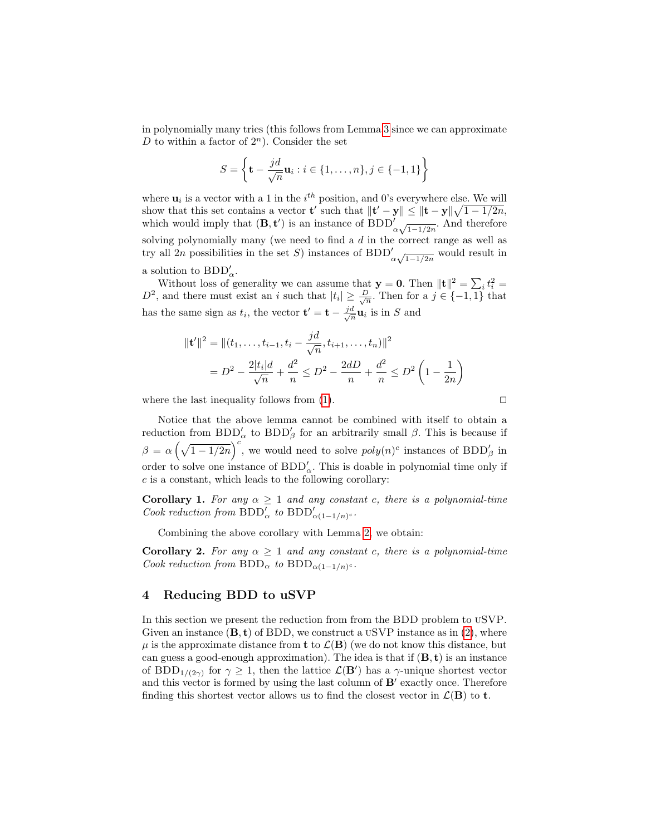in polynomially many tries (this follows from Lemma [3](#page-8-1) since we can approximate D to within a factor of  $2^n$ ). Consider the set

$$
S = \left\{ \mathbf{t} - \frac{jd}{\sqrt{n}} \mathbf{u}_i : i \in \{1, ..., n\}, j \in \{-1, 1\} \right\}
$$

where  $\mathbf{u}_i$  is a vector with a 1 in the  $i^{th}$  position, and 0's everywhere else. We will show that this set contains a vector **t'** such that  $\|\mathbf{t}' - \mathbf{y}\| \le \|\mathbf{t} - \mathbf{y}\| \sqrt{1 - 1/2n}$ , which would imply that  $(\mathbf{B}, \mathbf{t}')$  is an instance of  $\text{BDD}'_{\alpha \sqrt{1-1/2n}}$ . And therefore solving polynomially many (we need to find a d in the correct range as well as try all 2n possibilities in the set S) instances of BDD<sup>'</sup><sub> $\alpha\sqrt{1-1/2n}$ </sub> would result in a solution to  $BDD'_{\alpha}$ .

Without loss of generality we can assume that  $\mathbf{y} = \mathbf{0}$ . Then  $\|\mathbf{t}\|^2 = \sum_i t_i^2 =$  $D^2$ , and there must exist an i such that  $|t_i| \geq \frac{D}{\sqrt{n}}$ . Then for a  $j \in \{-1,1\}$  that has the same sign as  $t_i$ , the vector  $\mathbf{t}' = \mathbf{t} - \frac{jd}{\sqrt{t}}$  $\frac{a}{n}\mathbf{u}_i$  is in S and

$$
\|\mathbf{t}'\|^2 = \|(t_1, \dots, t_{i-1}, t_i - \frac{jd}{\sqrt{n}}, t_{i+1}, \dots, t_n)\|^2
$$
  
=  $D^2 - \frac{2|t_i|d}{\sqrt{n}} + \frac{d^2}{n} \le D^2 - \frac{2dD}{n} + \frac{d^2}{n} \le D^2 \left(1 - \frac{1}{2n}\right)$ 

where the last inequality follows from [\(1\)](#page-8-2).  $\Box$ 

Notice that the above lemma cannot be combined with itself to obtain a reduction from  $BDD'_{\alpha}$  to  $BDD'_{\beta}$  for an arbitrarily small  $\beta$ . This is because if  $\beta = \alpha \left(\sqrt{1-1/2n}\right)^c$ , we would need to solve  $poly(n)^c$  instances of BDD'<sub>β</sub> in order to solve one instance of  $BDD'_{\alpha}$ . This is doable in polynomial time only if  $c$  is a constant, which leads to the following corollary:

Corollary 1. For any  $\alpha \geq 1$  and any constant c, there is a polynomial-time Cook reduction from  $BDD'_{\alpha}$  to  $BDD'_{\alpha(1-1/n)^c}$ .

Combining the above corollary with Lemma [2,](#page-7-0) we obtain:

**Corollary 2.** For any  $\alpha \geq 1$  and any constant c, there is a polynomial-time Cook reduction from  $BDD_{\alpha}$  to  $BDD_{\alpha(1-1/n)^c}$ .

## <span id="page-9-0"></span>4 Reducing BDD to uSVP

In this section we present the reduction from from the BDD problem to uSVP. Given an instance  $(\mathbf{B}, \mathbf{t})$  of BDD, we construct a USVP instance as in [\(2\)](#page-10-0), where  $\mu$  is the approximate distance from **t** to  $\mathcal{L}(\mathbf{B})$  (we do not know this distance, but can guess a good-enough approximation). The idea is that if  $(\mathbf{B}, \mathbf{t})$  is an instance of BDD<sub>1/(2 $\gamma$ </sub>) for  $\gamma \geq 1$ , then the lattice  $\mathcal{L}(\mathbf{B}')$  has a  $\gamma$ -unique shortest vector and this vector is formed by using the last column of  $B'$  exactly once. Therefore finding this shortest vector allows us to find the closest vector in  $\mathcal{L}(\mathbf{B})$  to **t**.

<span id="page-9-1"></span>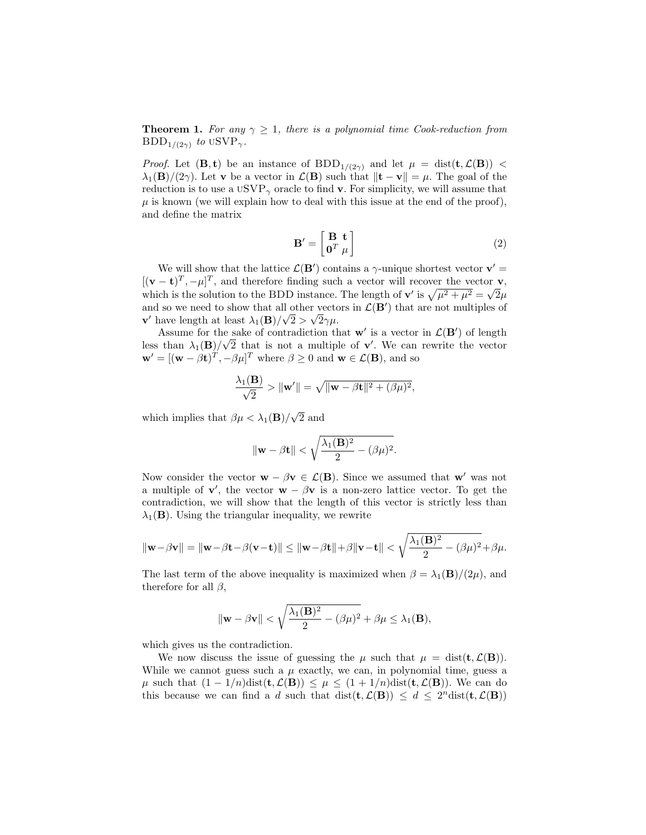**Theorem 1.** For any  $\gamma \geq 1$ , there is a polynomial time Cook-reduction from  $BDD_{1/(2\gamma)}$  to  $USVP_{\gamma}$ .

*Proof.* Let  $(\mathbf{B}, \mathbf{t})$  be an instance of  $BDD_{1/(2\gamma)}$  and let  $\mu = \text{dist}(\mathbf{t}, \mathcal{L}(\mathbf{B}))$  $\lambda_1(\mathbf{B})/(2\gamma)$ . Let **v** be a vector in  $\mathcal{L}(\mathbf{B})$  such that  $\|\mathbf{t} - \mathbf{v}\| = \mu$ . The goal of the reduction is to use a  $\mathrm{USVP}_{\gamma}$  oracle to find **v**. For simplicity, we will assume that  $\mu$  is known (we will explain how to deal with this issue at the end of the proof), and define the matrix

<span id="page-10-0"></span>
$$
\mathbf{B}' = \begin{bmatrix} \mathbf{B} & \mathbf{t} \\ \mathbf{0}^T & \mu \end{bmatrix} \tag{2}
$$

We will show that the lattice  $\mathcal{L}(\mathbf{B}')$  contains a  $\gamma$ -unique shortest vector  $\mathbf{v}' =$  $[(\mathbf{v}-\mathbf{t})^T, -\mu]^T$ , and therefore finding such a vector will recover the vector **v**, which is the solution to the BDD instance. The length of  $\mathbf{v}'$  is  $\sqrt{\mu^2 + \mu^2} = \sqrt{2}\mu$ and so we need to show that all other vectors in  $\mathcal{L}(\mathbf{B}')$  that are not multiples of **v**' have length at least  $\lambda_1(\mathbf{B})/\sqrt{2} > \sqrt{2}\gamma\mu$ .

Assume for the sake of contradiction that  $\mathbf{w}'$  is a vector in  $\mathcal{L}(\mathbf{B}')$  of length less than  $\lambda_1(\mathbf{B})/\sqrt{2}$  that is not a multiple of **v'**. We can rewrite the vector  $\mathbf{w}' = [(\mathbf{w} - \beta \mathbf{t})^T, -\beta \mu]^T$  where  $\beta \ge 0$  and  $\mathbf{w} \in \mathcal{L}(\mathbf{B})$ , and so

$$
\frac{\lambda_1(\mathbf{B})}{\sqrt{2}} > \|\mathbf{w}'\| = \sqrt{\|\mathbf{w} - \beta \mathbf{t}\|^2 + (\beta \mu)^2},
$$

which implies that  $\beta \mu < \lambda_1(\mathbf{B})/$ √ 2 and

$$
\|\mathbf{w}-\beta \mathbf{t}\| < \sqrt{\frac{\lambda_1(\mathbf{B})^2}{2} - (\beta \mu)^2}.
$$

Now consider the vector  $\mathbf{w} - \beta \mathbf{v} \in \mathcal{L}(\mathbf{B})$ . Since we assumed that  $\mathbf{w}'$  was not a multiple of **v'**, the vector **w** –  $\beta$ **v** is a non-zero lattice vector. To get the contradiction, we will show that the length of this vector is strictly less than  $\lambda_1(\mathbf{B})$ . Using the triangular inequality, we rewrite

$$
\|\mathbf{w}-\beta\mathbf{v}\| = \|\mathbf{w}-\beta\mathbf{t}-\beta(\mathbf{v}-\mathbf{t})\| \le \|\mathbf{w}-\beta\mathbf{t}\| + \beta\|\mathbf{v}-\mathbf{t}\| < \sqrt{\frac{\lambda_1(\mathbf{B})^2}{2} - (\beta\mu)^2} + \beta\mu.
$$

The last term of the above inequality is maximized when  $\beta = \lambda_1(\mathbf{B})/(2\mu)$ , and therefore for all  $\beta$ ,

$$
\|\mathbf{w} - \beta \mathbf{v}\| < \sqrt{\frac{\lambda_1(\mathbf{B})^2}{2} - (\beta \mu)^2} + \beta \mu \le \lambda_1(\mathbf{B}),
$$

which gives us the contradiction.

We now discuss the issue of guessing the  $\mu$  such that  $\mu = \text{dist}(\mathbf{t}, \mathcal{L}(\mathbf{B}))$ . While we cannot guess such a  $\mu$  exactly, we can, in polynomial time, guess a  $\mu$  such that  $(1 - 1/n)\text{dist}(\mathbf{t}, \mathcal{L}(\mathbf{B})) \leq \mu \leq (1 + 1/n)\text{dist}(\mathbf{t}, \mathcal{L}(\mathbf{B}))$ . We can do this because we can find a d such that  $dist(t, \mathcal{L}(\mathbf{B})) \leq d \leq 2^n dist(t, \mathcal{L}(\mathbf{B}))$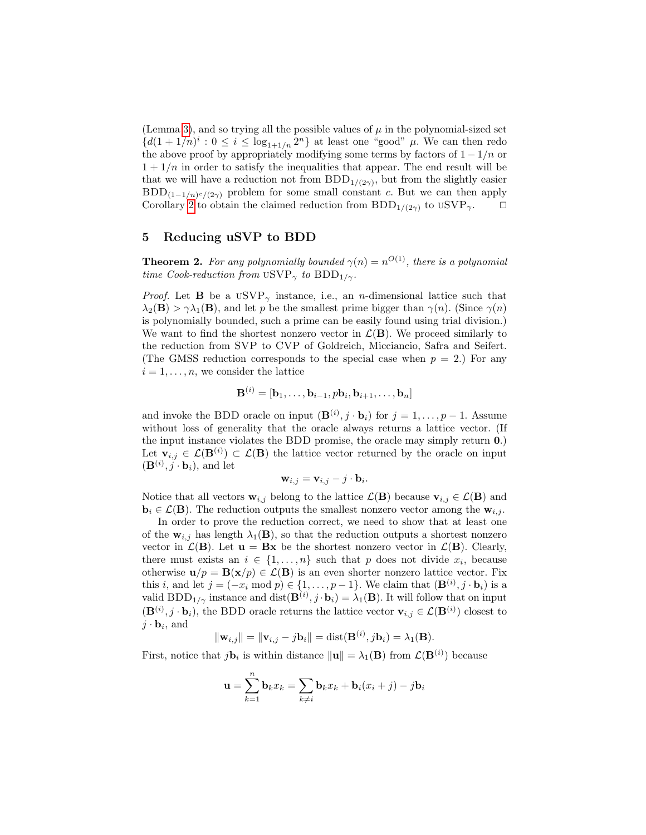(Lemma [3\)](#page-8-1), and so trying all the possible values of  $\mu$  in the polynomial-sized set  $\{d(1+1/n)^i: 0 \leq i \leq \log_{1+1/n} 2^n\}$  at least one "good"  $\mu$ . We can then redo the above proof by appropriately modifying some terms by factors of  $1 - 1/n$  or  $1 + 1/n$  in order to satisfy the inequalities that appear. The end result will be that we will have a reduction not from  $BDD_{1/(2\gamma)}$ , but from the slightly easier  $BDD_{(1-1/n)^c/(2\gamma)}$  problem for some small constant c. But we can then apply Corollary [2](#page-9-1) to obtain the claimed reduction from  $BDD_{1/(2\gamma)}$  to  $USVP_{\gamma}$ .

# <span id="page-11-0"></span>5 Reducing uSVP to BDD

**Theorem 2.** For any polynomially bounded  $\gamma(n) = n^{O(1)}$ , there is a polynomial time Cook-reduction from  $\text{USVP}_{\gamma}$  to  $\text{BDD}_{1/\gamma}$ .

*Proof.* Let **B** be a  $USVP_{\gamma}$  instance, i.e., an *n*-dimensional lattice such that  $\lambda_2(\mathbf{B}) > \gamma \lambda_1(\mathbf{B})$ , and let p be the smallest prime bigger than  $\gamma(n)$ . (Since  $\gamma(n)$ ) is polynomially bounded, such a prime can be easily found using trial division.) We want to find the shortest nonzero vector in  $\mathcal{L}(\mathbf{B})$ . We proceed similarly to the reduction from SVP to CVP of Goldreich, Micciancio, Safra and Seifert. (The GMSS reduction corresponds to the special case when  $p = 2$ .) For any  $i = 1, \ldots, n$ , we consider the lattice

$$
\mathbf{B}^{(i)} = [\mathbf{b}_1, \ldots, \mathbf{b}_{i-1}, p\mathbf{b}_i, \mathbf{b}_{i+1}, \ldots, \mathbf{b}_n]
$$

and invoke the BDD oracle on input  $(\mathbf{B}^{(i)}, j \cdot \mathbf{b}_i)$  for  $j = 1, \ldots, p - 1$ . Assume without loss of generality that the oracle always returns a lattice vector. (If the input instance violates the BDD promise, the oracle may simply return 0.) Let  $\mathbf{v}_{i,j} \in \mathcal{L}(\mathbf{B}^{(i)}) \subset \mathcal{L}(\mathbf{B})$  the lattice vector returned by the oracle on input  $(\mathbf{B}^{(i)}, \hat{j} \cdot \mathbf{b}_i)$ , and let

$$
\mathbf{w}_{i,j} = \mathbf{v}_{i,j} - j \cdot \mathbf{b}_i.
$$

Notice that all vectors  $\mathbf{w}_{i,j}$  belong to the lattice  $\mathcal{L}(\mathbf{B})$  because  $\mathbf{v}_{i,j} \in \mathcal{L}(\mathbf{B})$  and  $\mathbf{b}_i \in \mathcal{L}(\mathbf{B})$ . The reduction outputs the smallest nonzero vector among the  $\mathbf{w}_{i,j}$ .

In order to prove the reduction correct, we need to show that at least one of the  $w_{i,j}$  has length  $\lambda_1(B)$ , so that the reduction outputs a shortest nonzero vector in  $\mathcal{L}(\mathbf{B})$ . Let  $\mathbf{u} = \mathbf{B}\mathbf{x}$  be the shortest nonzero vector in  $\mathcal{L}(\mathbf{B})$ . Clearly, there must exists an  $i \in \{1, \ldots, n\}$  such that p does not divide  $x_i$ , because otherwise  $u/p = B(x/p) \in \mathcal{L}(B)$  is an even shorter nonzero lattice vector. Fix this i, and let  $j = (-x_i \mod p) \in \{1, \ldots, p-1\}$ . We claim that  $(\mathbf{B}^{(i)}, j \cdot \mathbf{b}_i)$  is a valid BDD<sub>1/ $\gamma$ </sub> instance and dist( $\mathbf{B}^{(i)}$ ,  $j \cdot \mathbf{b}_i = \lambda_1(\mathbf{B})$ . It will follow that on input  $(\mathbf{B}^{(i)}, j \cdot \mathbf{b}_i)$ , the BDD oracle returns the lattice vector  $\mathbf{v}_{i,j} \in \mathcal{L}(\mathbf{B}^{(i)})$  closest to  $j \cdot \mathbf{b}_i$ , and

$$
\|\mathbf{w}_{i,j}\| = \|\mathbf{v}_{i,j} - j\mathbf{b}_i\| = \text{dist}(\mathbf{B}^{(i)}, j\mathbf{b}_i) = \lambda_1(\mathbf{B}).
$$

First, notice that  $j\mathbf{b}_i$  is within distance  $\|\mathbf{u}\| = \lambda_1(\mathbf{B})$  from  $\mathcal{L}(\mathbf{B}^{(i)})$  because

$$
\mathbf{u} = \sum_{k=1}^{n} \mathbf{b}_k x_k = \sum_{k \neq i} \mathbf{b}_k x_k + \mathbf{b}_i (x_i + j) - j \mathbf{b}_i
$$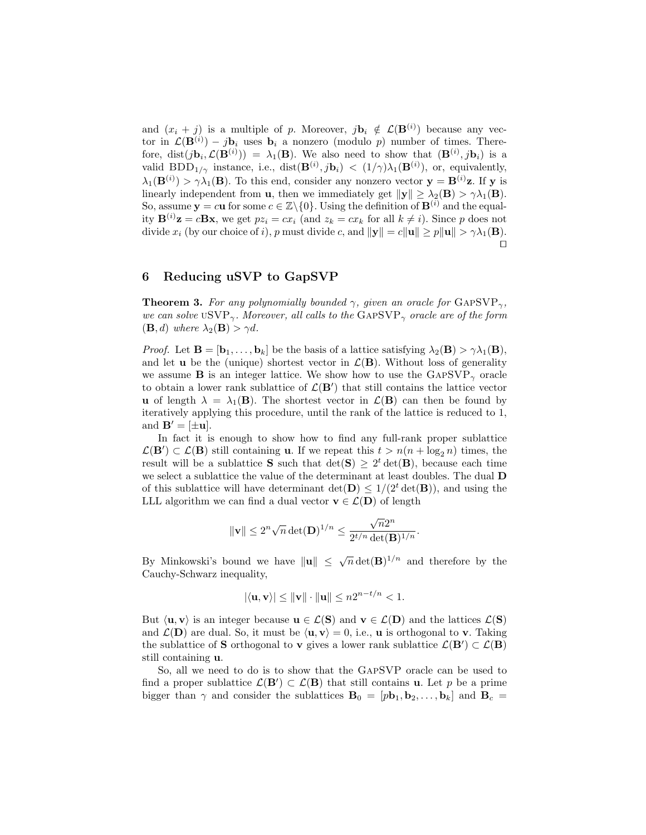and  $(x_i + j)$  is a multiple of p. Moreover,  $j\mathbf{b}_i \notin \mathcal{L}(\mathbf{B}^{(i)})$  because any vector in  $\mathcal{L}(\mathbf{B}^{(i)}) - j\mathbf{b}_i$  uses  $\mathbf{b}_i$  a nonzero (modulo p) number of times. Therefore, dist $(j\mathbf{b}_i, \mathcal{L}(\mathbf{B}^{(i)})) = \lambda_1(\mathbf{B})$ . We also need to show that  $(\mathbf{B}^{(i)}, j\mathbf{b}_i)$  is a valid BDD<sub>1/ $\gamma$ </sub> instance, i.e., dist $(\mathbf{B}^{(i)}, j\mathbf{b}_i) < (1/\gamma)\lambda_1(\mathbf{B}^{(i)})$ , or, equivalently,  $\lambda_1(\mathbf{B}^{(i)}) > \gamma \lambda_1(\mathbf{B})$ . To this end, consider any nonzero vector  $\mathbf{y} = \mathbf{B}^{(i)}\mathbf{z}$ . If y is linearly independent from **u**, then we immediately get  $\|\mathbf{y}\| \geq \lambda_2(\mathbf{B}) > \gamma \lambda_1(\mathbf{B})$ . So, assume  $y = cu$  for some  $c \in \mathbb{Z} \setminus \{0\}$ . Using the definition of  $\mathbf{B}^{(i)}$  and the equality  $\mathbf{B}^{(i)}\mathbf{z} = c\mathbf{B}\mathbf{x}$ , we get  $pz_i = cx_i$  (and  $z_k = cx_k$  for all  $k \neq i$ ). Since p does not divide  $x_i$  (by our choice of i), p must divide c, and  $\|\mathbf{y}\| = c\|\mathbf{u}\| \ge p\|\mathbf{u}\| > \gamma\lambda_1(\mathbf{B})$ .  $\Box$ 

# <span id="page-12-0"></span>6 Reducing uSVP to GapSVP

**Theorem 3.** For any polynomially bounded  $\gamma$ , given an oracle for GAPSVP<sub> $\gamma$ </sub>, we can solve uSVP<sub> $\gamma$ </sub>. Moreover, all calls to the GAPSVP<sub> $\gamma$ </sub> oracle are of the form  $(\mathbf{B}, d)$  where  $\lambda_2(\mathbf{B}) > \gamma d$ .

*Proof.* Let  $\mathbf{B} = [\mathbf{b}_1, \dots, \mathbf{b}_k]$  be the basis of a lattice satisfying  $\lambda_2(\mathbf{B}) > \gamma \lambda_1(\mathbf{B})$ , and let **u** be the (unique) shortest vector in  $\mathcal{L}(\mathbf{B})$ . Without loss of generality we assume **B** is an integer lattice. We show how to use the  $GAPSVP_{\gamma}$  oracle to obtain a lower rank sublattice of  $\mathcal{L}(\mathbf{B}')$  that still contains the lattice vector **u** of length  $\lambda = \lambda_1(B)$ . The shortest vector in  $\mathcal{L}(B)$  can then be found by iteratively applying this procedure, until the rank of the lattice is reduced to 1, and  $\mathbf{B}' = [\pm \mathbf{u}]$ .

In fact it is enough to show how to find any full-rank proper sublattice  $\mathcal{L}(\mathbf{B}') \subset \mathcal{L}(\mathbf{B})$  still containing **u**. If we repeat this  $t > n(n + \log_2 n)$  times, the result will be a sublattice **S** such that  $\det(S) \geq 2^t \det(B)$ , because each time we select a sublattice the value of the determinant at least doubles. The dual D of this sublattice will have determinant  $\det(\mathbf{D}) \leq 1/(2^t \det(\mathbf{B}))$ , and using the LLL algorithm we can find a dual vector  $\mathbf{v} \in \mathcal{L}(\mathbf{D})$  of length

$$
\|\mathbf{v}\| \leq 2^n \sqrt{n} \det(\mathbf{D})^{1/n} \leq \frac{\sqrt{n} 2^n}{2^{t/n} \det(\mathbf{B})^{1/n}}.
$$

By Minkowski's bound we have  $\|\mathbf{u}\| \leq \sqrt{n} \det(\mathbf{B})^{1/n}$  and therefore by the Cauchy-Schwarz inequality,

$$
|\langle \mathbf{u}, \mathbf{v} \rangle| \le ||\mathbf{v}|| \cdot ||\mathbf{u}|| \le n2^{n-t/n} < 1.
$$

But  $\langle \mathbf{u}, \mathbf{v} \rangle$  is an integer because  $\mathbf{u} \in \mathcal{L}(\mathbf{S})$  and  $\mathbf{v} \in \mathcal{L}(\mathbf{D})$  and the lattices  $\mathcal{L}(\mathbf{S})$ and  $\mathcal{L}(\mathbf{D})$  are dual. So, it must be  $\langle \mathbf{u}, \mathbf{v} \rangle = 0$ , i.e., **u** is orthogonal to **v**. Taking the sublattice of S orthogonal to v gives a lower rank sublattice  $\mathcal{L}(\mathbf{B}') \subset \mathcal{L}(\mathbf{B})$ still containing u.

So, all we need to do is to show that the GapSVP oracle can be used to find a proper sublattice  $\mathcal{L}(\mathbf{B}') \subset \mathcal{L}(\mathbf{B})$  that still contains **u**. Let p be a prime bigger than  $\gamma$  and consider the sublattices  $B_0 = [p\mathbf{b}_1, \mathbf{b}_2, \dots, \mathbf{b}_k]$  and  $B_c =$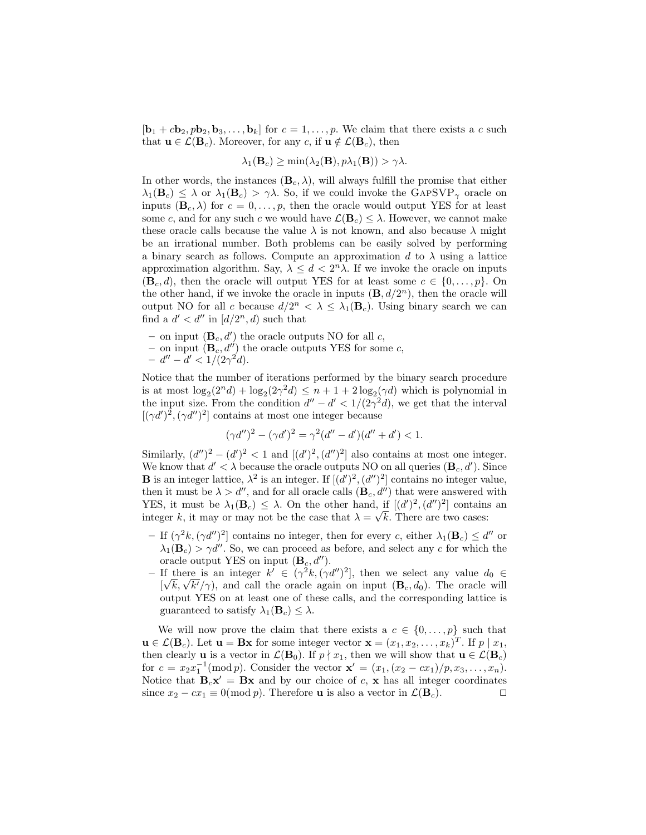$[\mathbf{b}_1 + c\mathbf{b}_2, p\mathbf{b}_2, \mathbf{b}_3, \ldots, \mathbf{b}_k]$  for  $c = 1, \ldots, p$ . We claim that there exists a c such that  $\mathbf{u} \in \mathcal{L}(\mathbf{B}_c)$ . Moreover, for any c, if  $\mathbf{u} \notin \mathcal{L}(\mathbf{B}_c)$ , then

$$
\lambda_1(\mathbf{B}_c) \ge \min(\lambda_2(\mathbf{B}), p\lambda_1(\mathbf{B})) > \gamma \lambda.
$$

In other words, the instances  $(\mathbf{B}_c, \lambda)$ , will always fulfill the promise that either  $\lambda_1(\mathbf{B}_c) \leq \lambda$  or  $\lambda_1(\mathbf{B}_c) > \gamma \lambda$ . So, if we could invoke the GAPSVP<sub> $\gamma$ </sub> oracle on inputs  $(\mathbf{B}_c, \lambda)$  for  $c = 0, \ldots, p$ , then the oracle would output YES for at least some c, and for any such c we would have  $\mathcal{L}(\mathbf{B}_c) \leq \lambda$ . However, we cannot make these oracle calls because the value  $\lambda$  is not known, and also because  $\lambda$  might be an irrational number. Both problems can be easily solved by performing a binary search as follows. Compute an approximation d to  $\lambda$  using a lattice approximation algorithm. Say,  $\lambda \leq d < 2<sup>n</sup>\lambda$ . If we invoke the oracle on inputs  $(\mathbf{B}_c, d)$ , then the oracle will output YES for at least some  $c \in \{0, \ldots, p\}$ . On the other hand, if we invoke the oracle in inputs  $(\mathbf{B}, d/2^n)$ , then the oracle will output NO for all c because  $d/2^n < \lambda \leq \lambda_1(\mathbf{B}_c)$ . Using binary search we can find a  $d' < d''$  in  $\left[\frac{d}{2^n}, d\right)$  such that

- on input  $(\mathbf{B}_c, d')$  the oracle outputs NO for all c,
- on input  $(\mathbf{B}_c, d'')$  the oracle outputs YES for some c,
- $d'' d' < 1/(2\gamma^2 d).$

Notice that the number of iterations performed by the binary search procedure is at most  $\log_2(2^n d) + \log_2(2\gamma^2 d) \leq n + 1 + 2 \log_2(\gamma d)$  which is polynomial in the input size. From the condition  $d'' - d' < 1/(2\gamma^2 d)$ , we get that the interval  $[(\gamma d')^2, (\gamma d'')^2]$  contains at most one integer because

$$
(\gamma d'')^2 - (\gamma d')^2 = \gamma^2 (d'' - d')(d'' + d') < 1.
$$

Similarly,  $(d'')^2 - (d')^2 < 1$  and  $[(d')^2, (d'')^2]$  also contains at most one integer. We know that  $d' < \lambda$  because the oracle outputs NO on all queries  $(\mathbf{B}_c, d')$ . Since **B** is an integer lattice,  $\lambda^2$  is an integer. If  $[(d')^2, (d'')^2]$  contains no integer value, then it must be  $\lambda > d''$ , and for all oracle calls  $(\mathbf{B}_c, d'')$  that were answered with YES, it must be  $\lambda_1(\mathbf{B}_c) \leq \lambda$ . On the other hand, if  $[(d')^2, (d'')^2]$  contains an integer k, it may or may not be the case that  $\lambda = \sqrt{k}$ . There are two cases:

- If  $(\gamma^2 k, (\gamma d'')^2]$  contains no integer, then for every c, either  $\lambda_1(\mathbf{B}_c) \le d''$  or  $\lambda_1(\mathbf{B}_c) > \gamma d''$ . So, we can proceed as before, and select any c for which the oracle output YES on input  $(\mathbf{B}_c, d'')$ .
- If there is an integer  $k'$  ∈ (γ<sup>2</sup>k,(γd'')<sup>2</sup>], then we select any value  $d_0$  ∈ If there is an integer  $\kappa \in (\gamma^k, (\gamma^{\alpha^k})^2)$ , then we select any value  $a_0 \in [\sqrt{k}, \sqrt{k'})$ , and call the oracle again on input  $(\mathbf{B}_c, d_0)$ . The oracle will output YES on at least one of these calls, and the corresponding lattice is guaranteed to satisfy  $\lambda_1(\mathbf{B}_c) \leq \lambda$ .

We will now prove the claim that there exists a  $c \in \{0, \ldots, p\}$  such that  $\mathbf{u} \in \mathcal{L}(\mathbf{B}_c)$ . Let  $\mathbf{u} = \mathbf{B}\mathbf{x}$  for some integer vector  $\mathbf{x} = (x_1, x_2, \dots, x_k)^T$ . If  $p \mid x_1$ , then clearly **u** is a vector in  $\mathcal{L}(\mathbf{B}_0)$ . If  $p \nmid x_1$ , then we will show that  $\mathbf{u} \in \mathcal{L}(\mathbf{B}_c)$ for  $c = x_2 x_1^{-1}(\text{mod } p)$ . Consider the vector  $\mathbf{x}' = (x_1, (x_2 - cx_1)/p, x_3, \dots, x_n)$ . Notice that  $B_c x' = Bx$  and by our choice of c, x has all integer coordinates since  $x_2 - cx_1 \equiv 0 \pmod{p}$ . Therefore **u** is also a vector in  $\mathcal{L}(\mathbf{B}_c)$ .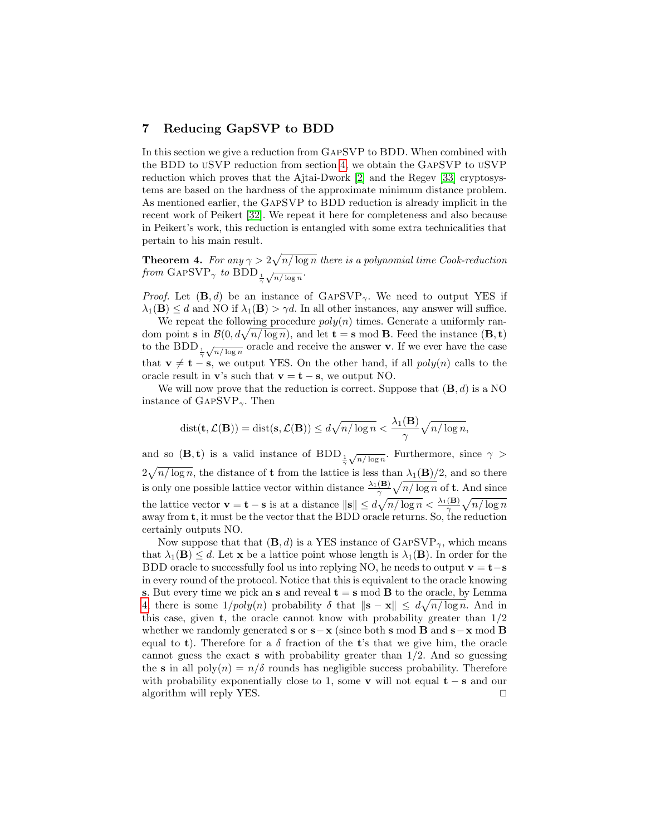# <span id="page-14-0"></span>7 Reducing GapSVP to BDD

In this section we give a reduction from GapSVP to BDD. When combined with the BDD to uSVP reduction from section [4,](#page-9-0) we obtain the GapSVP to uSVP reduction which proves that the Ajtai-Dwork [\[2\]](#page-15-0) and the Regev [\[33\]](#page-16-0) cryptosystems are based on the hardness of the approximate minimum distance problem. As mentioned earlier, the GapSVP to BDD reduction is already implicit in the recent work of Peikert [\[32\]](#page-16-8). We repeat it here for completeness and also because in Peikert's work, this reduction is entangled with some extra technicalities that pertain to his main result.

**Theorem 4.** For any  $\gamma > 2\sqrt{n/\log n}$  there is a polynomial time Cook-reduction from GAPSVP<sub> $\gamma$ </sub> to BDD<sub> $\frac{1}{\gamma}$ </sub>  $\sqrt{n/\log n}$ .

*Proof.* Let  $(\mathbf{B}, d)$  be an instance of  $GAPSVP_{\gamma}$ . We need to output YES if  $\lambda_1(\mathbf{B}) \leq d$  and NO if  $\lambda_1(\mathbf{B}) > \gamma d$ . In all other instances, any answer will suffice.

We repeat the following procedure  $poly(n)$  times. Generate a uniformly random point **s** in  $\mathcal{B}(0, d\sqrt{n/\log n})$ , and let **t** = **s** mod **B**. Feed the instance  $(\mathbf{B}, \mathbf{t})$ to the BDD  $\frac{1}{\gamma}$  $\sqrt{n/\log n}$  oracle and receive the answer **v**. If we ever have the case that  $\mathbf{v} \neq \mathbf{t} - \mathbf{s}$ , we output YES. On the other hand, if all  $poly(n)$  calls to the oracle result in v's such that  $\mathbf{v} = \mathbf{t} - \mathbf{s}$ , we output NO.

We will now prove that the reduction is correct. Suppose that  $(\mathbf{B}, d)$  is a NO instance of GAPSVP $_{\gamma}$ . Then

$$
dist(\mathbf{t}, \mathcal{L}(\mathbf{B})) = dist(\mathbf{s}, \mathcal{L}(\mathbf{B})) \leq d\sqrt{n/\log n} < \frac{\lambda_1(\mathbf{B})}{\gamma} \sqrt{n/\log n},
$$

and so  $(\mathbf{B}, \mathbf{t})$  is a valid instance of  $\text{BDD}_{\frac{1}{\gamma}}$  $\sqrt{n/\log n}$ . Furthermore, since  $\gamma >$  $2\sqrt{n/\log n}$ , the distance of **t** from the lattice is less than  $\lambda_1(\mathbf{B})/2$ , and so there is only one possible lattice vector within distance  $\frac{\lambda_1(B)}{\gamma} \sqrt{n/\log n}$  of **t**. And since the lattice vector  $\mathbf{v} = \mathbf{t} - \mathbf{s}$  is at a distance  $\|\mathbf{s}\| \leq d\sqrt{n/\log n} < \frac{\lambda_1(\mathbf{B})}{\gamma} \sqrt{n/\log n}$ away from t, it must be the vector that the BDD oracle returns. So, the reduction certainly outputs NO.

Now suppose that that  $(\mathbf{B}, d)$  is a YES instance of GAPSVP<sub> $\gamma$ </sub>, which means that  $\lambda_1(\mathbf{B}) \leq d$ . Let **x** be a lattice point whose length is  $\lambda_1(\mathbf{B})$ . In order for the BDD oracle to successfully fool us into replying NO, he needs to output  $\mathbf{v} = \mathbf{t} - \mathbf{s}$ in every round of the protocol. Notice that this is equivalent to the oracle knowing s. But every time we pick an s and reveal  $t = s \mod B$  to the oracle, by Lemma [4,](#page-8-3) there is some  $1/poly(n)$  probability  $\delta$  that  $\|\mathbf{s} - \mathbf{x}\| \leq d\sqrt{n/\log n}$ . And in this case, given **t**, the oracle cannot know with probability greater than  $1/2$ whether we randomly generated s or  $\mathbf{s}-\mathbf{x}$  (since both s mod **B** and  $\mathbf{s}-\mathbf{x}$  mod **B** equal to t). Therefore for a  $\delta$  fraction of the t's that we give him, the oracle cannot guess the exact  $s$  with probability greater than  $1/2$ . And so guessing the s in all poly $(n) = n/\delta$  rounds has negligible success probability. Therefore with probability exponentially close to 1, some v will not equal  $t - s$  and our algorithm will reply YES.  $\Box$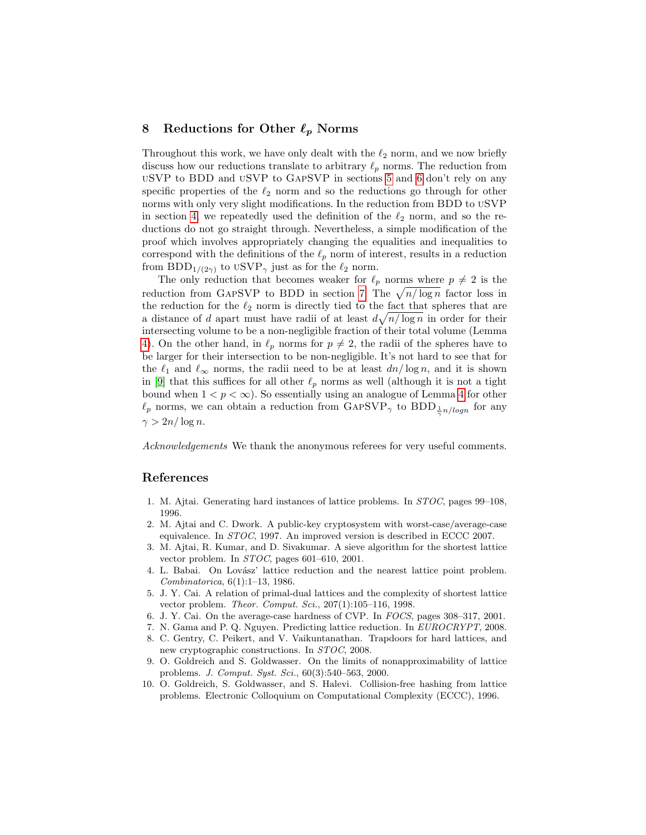# 8 Reductions for Other  $\ell_p$  Norms

Throughout this work, we have only dealt with the  $\ell_2$  norm, and we now briefly discuss how our reductions translate to arbitrary  $\ell_p$  norms. The reduction from uSVP to BDD and uSVP to GapSVP in sections [5](#page-11-0) and [6](#page-12-0) don't rely on any specific properties of the  $\ell_2$  norm and so the reductions go through for other norms with only very slight modifications. In the reduction from BDD to uSVP in section [4,](#page-9-0) we repeatedly used the definition of the  $\ell_2$  norm, and so the reductions do not go straight through. Nevertheless, a simple modification of the proof which involves appropriately changing the equalities and inequalities to correspond with the definitions of the  $\ell_p$  norm of interest, results in a reduction from BDD<sub>1/(2 $\gamma$ )</sub> to USVP<sub> $\gamma$ </sub> just as for the  $\ell_2$  norm.

The only reduction that becomes weaker for  $\ell_p$  norms where  $p \neq 2$  is the reduction from GAPSVP to BDD in section [7.](#page-14-0) The  $\sqrt{n/\log n}$  factor loss in the reduction for the  $\ell_2$  norm is directly tied to the fact that spheres that are a distance of d apart must have radii of at least  $d\sqrt{n/\log n}$  in order for their intersecting volume to be a non-negligible fraction of their total volume (Lemma [4\)](#page-8-3). On the other hand, in  $\ell_p$  norms for  $p \neq 2$ , the radii of the spheres have to be larger for their intersection to be non-negligible. It's not hard to see that for the  $\ell_1$  and  $\ell_{\infty}$  norms, the radii need to be at least  $dn/\log n$ , and it is shown in [\[9\]](#page-15-5) that this suffices for all other  $\ell_p$  norms as well (although it is not a tight bound when  $1 < p < \infty$ ). So essentially using an analogue of Lemma [4](#page-8-3) for other  $\ell_p$  norms, we can obtain a reduction from  $GAPSVP_\gamma$  to  $BDD_{\frac{1}{\gamma}n/logn}$  for any  $\gamma > 2n/\log n$ .

Acknowledgements We thank the anonymous referees for very useful comments.

## References

- <span id="page-15-1"></span>1. M. Ajtai. Generating hard instances of lattice problems. In STOC, pages 99–108, 1996.
- <span id="page-15-0"></span>2. M. Ajtai and C. Dwork. A public-key cryptosystem with worst-case/average-case equivalence. In STOC, 1997. An improved version is described in ECCC 2007.
- <span id="page-15-6"></span>3. M. Ajtai, R. Kumar, and D. Sivakumar. A sieve algorithm for the shortest lattice vector problem. In STOC, pages 601–610, 2001.
- <span id="page-15-9"></span>4. L. Babai. On Lovász' lattice reduction and the nearest lattice point problem. Combinatorica, 6(1):1–13, 1986.
- <span id="page-15-8"></span>5. J. Y. Cai. A relation of primal-dual lattices and the complexity of shortest lattice vector problem. Theor. Comput. Sci., 207(1):105–116, 1998.
- <span id="page-15-4"></span>6. J. Y. Cai. On the average-case hardness of CVP. In FOCS, pages 308–317, 2001.
- <span id="page-15-7"></span>7. N. Gama and P. Q. Nguyen. Predicting lattice reduction. In EUROCRYPT, 2008.
- <span id="page-15-3"></span>8. C. Gentry, C. Peikert, and V. Vaikuntanathan. Trapdoors for hard lattices, and new cryptographic constructions. In STOC, 2008.
- <span id="page-15-5"></span>9. O. Goldreich and S. Goldwasser. On the limits of nonapproximability of lattice problems. J. Comput. Syst. Sci., 60(3):540–563, 2000.
- <span id="page-15-2"></span>10. O. Goldreich, S. Goldwasser, and S. Halevi. Collision-free hashing from lattice problems. Electronic Colloquium on Computational Complexity (ECCC), 1996.